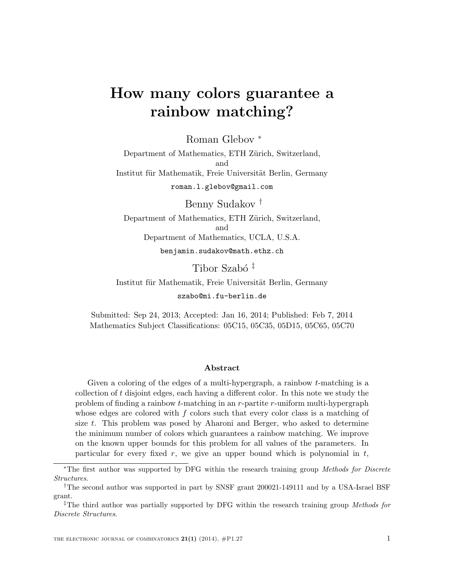# How many colors guarantee a rainbow matching?

Roman Glebov <sup>∗</sup>

Department of Mathematics, ETH Zürich, Switzerland, and Institut für Mathematik, Freie Universität Berlin, Germany roman.l.glebov@gmail.com

Benny Sudakov † Department of Mathematics, ETH Zürich, Switzerland, and Department of Mathematics, UCLA, U.S.A. benjamin.sudakov@math.ethz.ch

Tibor Szabó<sup>‡</sup>

Institut für Mathematik, Freie Universität Berlin, Germany szabo@mi.fu-berlin.de

Submitted: Sep 24, 2013; Accepted: Jan 16, 2014; Published: Feb 7, 2014 Mathematics Subject Classifications: 05C15, 05C35, 05D15, 05C65, 05C70

#### Abstract

Given a coloring of the edges of a multi-hypergraph, a rainbow t-matching is a collection of  $t$  disjoint edges, each having a different color. In this note we study the problem of finding a rainbow  $t$ -matching in an  $r$ -partite  $r$ -uniform multi-hypergraph whose edges are colored with f colors such that every color class is a matching of size t. This problem was posed by Aharoni and Berger, who asked to determine the minimum number of colors which guarantees a rainbow matching. We improve on the known upper bounds for this problem for all values of the parameters. In particular for every fixed  $r$ , we give an upper bound which is polynomial in  $t$ ,

<sup>∗</sup>The first author was supported by DFG within the research training group Methods for Discrete Structures.

<sup>†</sup>The second author was supported in part by SNSF grant 200021-149111 and by a USA-Israel BSF grant.

<sup>&</sup>lt;sup>‡</sup>The third author was partially supported by DFG within the research training group Methods for Discrete Structures.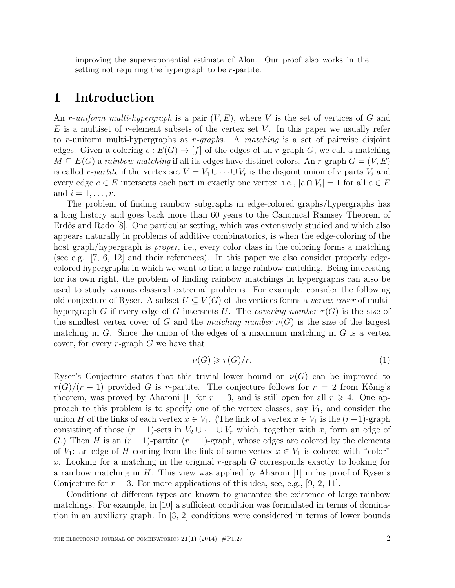improving the superexponential estimate of Alon. Our proof also works in the setting not requiring the hypergraph to be r-partite.

# 1 Introduction

An r-uniform multi-hypergraph is a pair  $(V, E)$ , where V is the set of vertices of G and  $E$  is a multiset of r-element subsets of the vertex set V. In this paper we usually refer to r-uniform multi-hypergraphs as  $r$ -graphs. A matching is a set of pairwise disjoint edges. Given a coloring  $c: E(G) \to [f]$  of the edges of an r-graph G, we call a matching  $M \subseteq E(G)$  a rainbow matching if all its edges have distinct colors. An r-graph  $G = (V, E)$ is called r-partite if the vertex set  $V = V_1 \cup \cdots \cup V_r$  is the disjoint union of r parts  $V_i$  and every edge  $e \in E$  intersects each part in exactly one vertex, i.e.,  $|e \cap V_i| = 1$  for all  $e \in E$ and  $i = 1, \ldots, r$ .

The problem of finding rainbow subgraphs in edge-colored graphs/hypergraphs has a long history and goes back more than 60 years to the Canonical Ramsey Theorem of Erdős and Rado [8]. One particular setting, which was extensively studied and which also appears naturally in problems of additive combinatorics, is when the edge-coloring of the host graph/hypergraph is *proper*, i.e., every color class in the coloring forms a matching (see e.g. [7, 6, 12] and their references). In this paper we also consider properly edgecolored hypergraphs in which we want to find a large rainbow matching. Being interesting for its own right, the problem of finding rainbow matchings in hypergraphs can also be used to study various classical extremal problems. For example, consider the following old conjecture of Ryser. A subset  $U \subseteq V(G)$  of the vertices forms a vertex cover of multihypergraph G if every edge of G intersects U. The covering number  $\tau(G)$  is the size of the smallest vertex cover of G and the matching number  $\nu(G)$  is the size of the largest matching in  $G$ . Since the union of the edges of a maximum matching in  $G$  is a vertex cover, for every  $r$ -graph  $G$  we have that

$$
\nu(G) \geqslant \tau(G)/r. \tag{1}
$$

Ryser's Conjecture states that this trivial lower bound on  $\nu(G)$  can be improved to  $\tau(G)/(r-1)$  provided G is r-partite. The conjecture follows for  $r=2$  from Kőnig's theorem, was proved by Aharoni [1] for  $r = 3$ , and is still open for all  $r \geq 4$ . One approach to this problem is to specify one of the vertex classes, say  $V_1$ , and consider the union H of the links of each vertex  $x \in V_1$ . (The link of a vertex  $x \in V_1$  is the  $(r-1)$ -graph consisting of those  $(r-1)$ -sets in  $V_2 \cup \cdots \cup V_r$  which, together with x, form an edge of G.) Then H is an  $(r-1)$ -partite  $(r-1)$ -graph, whose edges are colored by the elements of  $V_1$ : an edge of H coming from the link of some vertex  $x \in V_1$  is colored with "color" x. Looking for a matching in the original r-graph  $G$  corresponds exactly to looking for a rainbow matching in  $H$ . This view was applied by Aharoni [1] in his proof of Ryser's Conjecture for  $r = 3$ . For more applications of this idea, see, e.g., [9, 2, 11].

Conditions of different types are known to guarantee the existence of large rainbow matchings. For example, in [10] a sufficient condition was formulated in terms of domination in an auxiliary graph. In [3, 2] conditions were considered in terms of lower bounds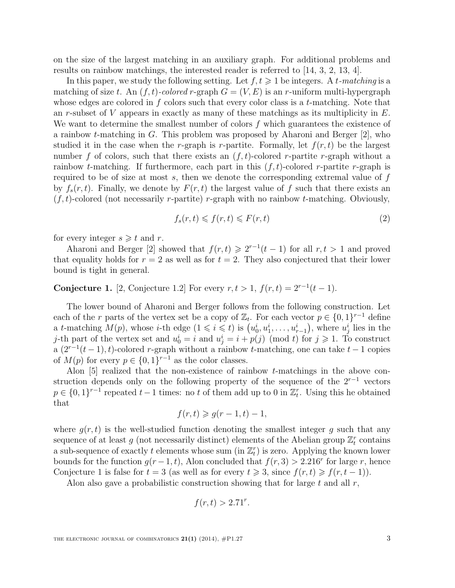on the size of the largest matching in an auxiliary graph. For additional problems and results on rainbow matchings, the interested reader is referred to [14, 3, 2, 13, 4].

In this paper, we study the following setting. Let  $f, t \geq 1$  be integers. A t-matching is a matching of size t. An  $(f, t)$ -colored r-graph  $G = (V, E)$  is an r-uniform multi-hypergraph whose edges are colored in f colors such that every color class is a t-matching. Note that an r-subset of  $V$  appears in exactly as many of these matchings as its multiplicity in  $E$ . We want to determine the smallest number of colors  $f$  which guarantees the existence of a rainbow t-matching in G. This problem was proposed by Aharoni and Berger [2], who studied it in the case when the r-graph is r-partite. Formally, let  $f(r, t)$  be the largest number f of colors, such that there exists an  $(f, t)$ -colored r-partite r-graph without a rainbow *t*-matching. If furthermore, each part in this  $(f, t)$ -colored *r*-partite *r*-graph is required to be of size at most  $s$ , then we denote the corresponding extremal value of  $f$ by  $f_s(r, t)$ . Finally, we denote by  $F(r, t)$  the largest value of f such that there exists an  $(f, t)$ -colored (not necessarily r-partite) r-graph with no rainbow t-matching. Obviously,

$$
f_s(r,t) \leqslant f(r,t) \leqslant F(r,t) \tag{2}
$$

for every integer  $s \geq t$  and r.

Aharoni and Berger [2] showed that  $f(r, t) \geq 2^{r-1}(t-1)$  for all  $r, t > 1$  and proved that equality holds for  $r = 2$  as well as for  $t = 2$ . They also conjectured that their lower bound is tight in general.

Conjecture 1. [2, Conjecture 1.2] For every  $r, t > 1$ ,  $f(r,t) = 2^{r-1}(t-1)$ .

The lower bound of Aharoni and Berger follows from the following construction. Let each of the r parts of the vertex set be a copy of  $\mathbb{Z}_t$ . For each vector  $p \in \{0,1\}^{r-1}$  define a t-matching  $M(p)$ , whose *i*-th edge  $(1 \leq i \leq t)$  is  $(u_0^i, u_1^i, \ldots, u_{r-1}^i)$ , where  $u_j^i$  lies in the j-th part of the vertex set and  $u_0^i = i$  and  $u_j^i = i + p(j) \pmod{t}$  for  $j \ge 1$ . To construct a  $(2^{r-1}(t-1), t)$ -colored r-graph without a rainbow t-matching, one can take  $t-1$  copies of  $M(p)$  for every  $p \in \{0,1\}^{r-1}$  as the color classes.

Alon [5] realized that the non-existence of rainbow t-matchings in the above construction depends only on the following property of the sequence of the  $2^{r-1}$  vectors  $p \in \{0,1\}^{r-1}$  repeated  $t-1$  times: no t of them add up to 0 in  $\mathbb{Z}_t^r$ . Using this he obtained that

$$
f(r,t) \geqslant g(r-1,t)-1,
$$

where  $g(r, t)$  is the well-studied function denoting the smallest integer g such that any sequence of at least g (not necessarily distinct) elements of the Abelian group  $\mathbb{Z}^r_t$  contains a sub-sequence of exactly t elements whose sum (in  $\mathbb{Z}_t^r$ ) is zero. Applying the known lower bounds for the function  $g(r-1,t)$ , Alon concluded that  $f(r, 3) > 2.216^r$  for large r, hence Conjecture 1 is false for  $t = 3$  (as well as for every  $t \ge 3$ , since  $f(r, t) \ge f(r, t-1)$ ).

Alon also gave a probabilistic construction showing that for large  $t$  and all  $r$ ,

$$
f(r,t) > 2.71^r.
$$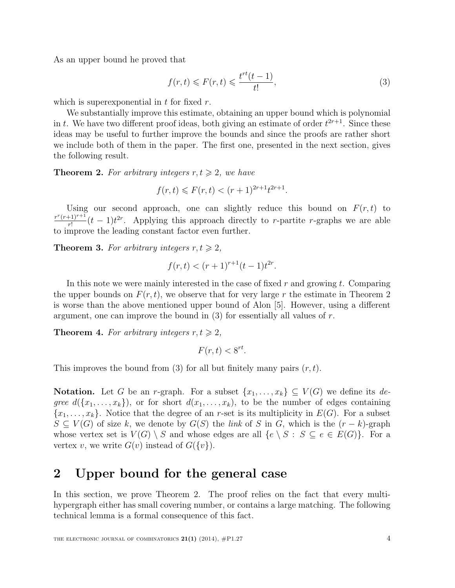As an upper bound he proved that

$$
f(r,t) \leqslant F(r,t) \leqslant \frac{t^{rt}(t-1)}{t!},\tag{3}
$$

which is superexponential in  $t$  for fixed  $r$ .

We substantially improve this estimate, obtaining an upper bound which is polynomial in t. We have two different proof ideas, both giving an estimate of order  $t^{2r+1}$ . Since these ideas may be useful to further improve the bounds and since the proofs are rather short we include both of them in the paper. The first one, presented in the next section, gives the following result.

**Theorem 2.** For arbitrary integers  $r, t \geq 2$ , we have

$$
f(r,t) \leq F(r,t) < (r+1)^{2r+1} t^{2r+1}.
$$

Using our second approach, one can slightly reduce this bound on  $F(r, t)$  to  $r^r(r+1)^{r+1}$  $\frac{f_{r+1}}{r!}(t-1)t^{2r}$ . Applying this approach directly to r-partite r-graphs we are able to improve the leading constant factor even further.

**Theorem 3.** For arbitrary integers  $r, t \geq 2$ ,

$$
f(r,t) < (r+1)^{r+1}(t-1)t^{2r}.
$$

In this note we were mainly interested in the case of fixed  $r$  and growing  $t$ . Comparing the upper bounds on  $F(r, t)$ , we observe that for very large r the estimate in Theorem 2 is worse than the above mentioned upper bound of Alon [5]. However, using a different argument, one can improve the bound in  $(3)$  for essentially all values of r.

**Theorem 4.** For arbitrary integers  $r, t \geq 2$ ,

$$
F(r,t) < 8^{rt}.
$$

This improves the bound from (3) for all but finitely many pairs  $(r, t)$ .

**Notation.** Let G be an r-graph. For a subset  $\{x_1, \ldots, x_k\} \subseteq V(G)$  we define its degree  $d({x_1,...,x_k})$ , or for short  $d(x_1,...,x_k)$ , to be the number of edges containing  ${x_1, \ldots, x_k}$ . Notice that the degree of an r-set is its multiplicity in  $E(G)$ . For a subset  $S \subseteq V(G)$  of size k, we denote by  $G(S)$  the link of S in G, which is the  $(r - k)$ -graph whose vertex set is  $V(G) \setminus S$  and whose edges are all  $\{e \setminus S : S \subseteq e \in E(G)\}\$ . For a vertex v, we write  $G(v)$  instead of  $G({v}).$ 

#### 2 Upper bound for the general case

In this section, we prove Theorem 2. The proof relies on the fact that every multihypergraph either has small covering number, or contains a large matching. The following technical lemma is a formal consequence of this fact.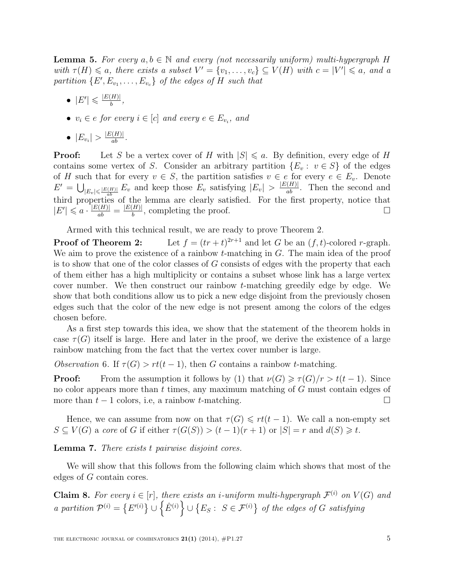**Lemma 5.** For every  $a, b \in \mathbb{N}$  and every (not necessarily uniform) multi-hypergraph H with  $\tau(H) \leq a$ , there exists a subset  $V' = \{v_1, \ldots, v_c\} \subseteq V(H)$  with  $c = |V'| \leq a$ , and a partition  $\{E', E_{v_1}, \ldots, E_{v_c}\}$  of the edges of H such that

- $\bullet$   $|E'|\leqslant \frac{|E(H)|}{h}$  $\frac{H||}{b},$
- $v_i \in e$  for every  $i \in [c]$  and every  $e \in E_{v_i}$ , and
- $|E_{v_i}| > \frac{|E(H)|}{ab}$ .

**Proof:** Let S be a vertex cover of H with  $|S| \le a$ . By definition, every edge of H contains some vertex of S. Consider an arbitrary partition  $\{E_v : v \in S\}$  of the edges of H such that for every  $v \in S$ , the partition satisfies  $v \in e$  for every  $e \in E_v$ . Denote  $E' = \bigcup_{|E_v| \leq \frac{|E(H)|}{ab}} E_v$  and keep those  $E_v$  satisfying  $|E_v| > \frac{|E(H)|}{ab}$ . Then the second and third properties of the lemma are clearly satisfied. For the first property, notice that  $|E'|\leqslant a\cdot\frac{|E(H)|}{ab}=\frac{|E(H)|}{b}$  $\frac{H}{b}$ , completing the proof.

Armed with this technical result, we are ready to prove Theorem 2.

Proof of Theorem 2: Let  $f = (tr + t)^{2r+1}$  and let G be an  $(f, t)$ -colored r-graph. We aim to prove the existence of a rainbow  $t$ -matching in  $G$ . The main idea of the proof is to show that one of the color classes of G consists of edges with the property that each of them either has a high multiplicity or contains a subset whose link has a large vertex cover number. We then construct our rainbow t-matching greedily edge by edge. We show that both conditions allow us to pick a new edge disjoint from the previously chosen edges such that the color of the new edge is not present among the colors of the edges chosen before.

As a first step towards this idea, we show that the statement of the theorem holds in case  $\tau(G)$  itself is large. Here and later in the proof, we derive the existence of a large rainbow matching from the fact that the vertex cover number is large.

Observation 6. If  $\tau(G) > rt(t-1)$ , then G contains a rainbow t-matching.

**Proof:** From the assumption it follows by (1) that  $\nu(G) \geq \tau(G)/r > t(t-1)$ . Since no color appears more than  $t$  times, any maximum matching of  $G$  must contain edges of more than  $t - 1$  colors, i.e, a rainbow  $t$ -matching.  $\Box$ 

Hence, we can assume from now on that  $\tau(G) \leqslant rt(t-1)$ . We call a non-empty set  $S \subseteq V(G)$  a core of G if either  $\tau(G(S)) > (t-1)(r+1)$  or  $|S| = r$  and  $d(S) \geq t$ .

Lemma 7. There exists t pairwise disjoint cores.

We will show that this follows from the following claim which shows that most of the edges of G contain cores.

**Claim 8.** For every  $i \in [r]$ , there exists an *i*-uniform multi-hypergraph  $\mathcal{F}^{(i)}$  on  $V(G)$  and a partition  $\mathcal{P}^{(i)} = \{E'^{(i)}\} \cup \{\hat{E}^{(i)}\} \cup \{E_S : S \in \mathcal{F}^{(i)}\}$  of the edges of G satisfying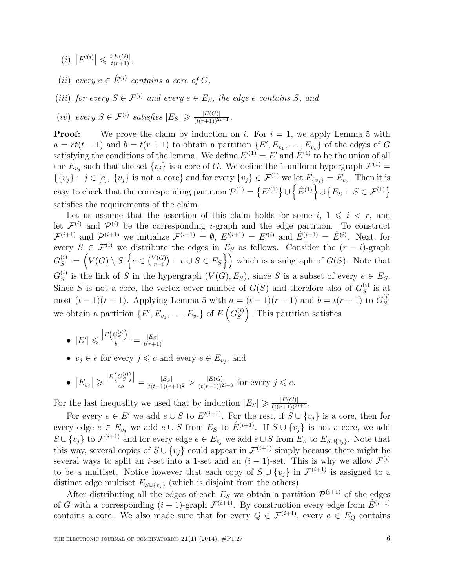(*i*)  $|E'(i)| \leq \frac{i|E(G)|}{t(r+1)},$ 

(ii) every  $e \in \hat{E}^{(i)}$  contains a core of  $G$ ,

(iii) for every  $S \in \mathcal{F}^{(i)}$  and every  $e \in E_S$ , the edge e contains S, and

 $(iv) \text{ every } S \in \mathcal{F}^{(i)} \text{ satisfies } |E_S| \geqslant \frac{|E(G)|}{(t(r+1))^{2i+1}}.$ 

**Proof:** We prove the claim by induction on i. For  $i = 1$ , we apply Lemma 5 with  $a = rt(t-1)$  and  $b = t(r+1)$  to obtain a partition  $\{E', E_{v_1}, \ldots, E_{v_c}\}$  of the edges of G satisfying the conditions of the lemma. We define  $E'(1) = E'$  and  $\hat{E}^{(1)}$  to be the union of all the  $E_{v_j}$  such that the set  $\{v_j\}$  is a core of G. We define the 1-uniform hypergraph  $\mathcal{F}^{(1)}$  =  $\{\{v_j\}: j \in [c], \{v_j\} \text{ is not a core}\}\$ and for every  $\{v_j\} \in \mathcal{F}^{(1)}$  we let  $E_{\{v_j\}} = E_{v_j}$ . Then it is easy to check that the corresponding partition  $\mathcal{P}^{(1)} = \left\{ E'^{(1)} \right\} \cup \left\{ \hat{E}^{(1)} \right\} \cup \left\{ E_S : S \in \mathcal{F}^{(1)} \right\}$ satisfies the requirements of the claim.

Let us assume that the assertion of this claim holds for some  $i, 1 \leq i \leq r$ , and let  $\mathcal{F}^{(i)}$  and  $\mathcal{P}^{(i)}$  be the corresponding *i*-graph and the edge partition. To construct  $\mathcal{F}^{(i+1)}$  and  $\mathcal{P}^{(i+1)}$  we initialize  $\mathcal{F}^{(i+1)} = \emptyset$ ,  $E^{i(i+1)} = E^{i(i)}$  and  $\hat{E}^{(i+1)} = \hat{E}^{(i)}$ . Next, for every  $S \in \mathcal{F}^{(i)}$  we distribute the edges in  $E_S$  as follows. Consider the  $(r - i)$ -graph  $G^{(i)}_S$  $S^{(i)}_S := \left(V(G) \setminus S, \left\{e \in {V(G) \choose r-i} \right\}\right)$  $\mathcal{C}^{(G)}_{r-i}$ :  $e \cup S \in E_S$ } which is a subgraph of  $G(S)$ . Note that  $G^{(i)}_S$  $S^{(i)}$  is the link of S in the hypergraph  $(V(G), E_S)$ , since S is a subset of every  $e \in E_S$ . Since S is not a core, the vertex cover number of  $G(S)$  and therefore also of  $G_S^{(i)}$  $S^{(i)}$  is at most  $(t-1)(r+1)$ . Applying Lemma 5 with  $a = (t-1)(r+1)$  and  $b = t(r+1)$  to  $G_S^{(i)}$ S we obtain a partition  $\{E', E_{v_1}, \ldots, E_{v_c}\}$  of  $E\left(G_S^{(i)}\right)$  $S(S)$ . This partition satisfies

- $\bullet \ \vert E' \vert \leqslant \frac{\vert E\big(G_S^{(i)}\big) \vert}{b} = \frac{\vert E_S \vert}{t(r+1)}$  $t(r+1)$
- $v_j \in e$  for every  $j \leq c$  and every  $e \in E_{v_j}$ , and
- $|E_{v_j}| \geqslant \frac{|E(G_S^{(i)})|}{ab} = \frac{|E_S|}{t(t-1)(r+1)^2} > \frac{|E(G)|}{(t(r+1))^{2i+3}}$  for every  $j \leqslant c$ .

For the last inequality we used that by induction  $|E_S| \geqslant \frac{|E(G)|}{(t(r+1))^{2i+1}}$ .

For every  $e \in E'$  we add  $e \cup S$  to  $E'^{(i+1)}$ . For the rest, if  $S \cup \{v_j\}$  is a core, then for every edge  $e \in E_{v_i}$  we add  $e \cup S$  from  $E_S$  to  $\hat{E}^{(i+1)}$ . If  $S \cup \{v_j\}$  is not a core, we add  $S \cup \{v_j\}$  to  $\mathcal{F}^{(i+1)}$  and for every edge  $e \in E_{v_j}$  we add  $e \cup S$  from  $E_S$  to  $E_{S \cup \{v_j\}}$ . Note that this way, several copies of  $S \cup \{v_j\}$  could appear in  $\mathcal{F}^{(i+1)}$  simply because there might be several ways to split an *i*-set into a 1-set and an  $(i - 1)$ -set. This is why we allow  $\mathcal{F}^{(i)}$ to be a multiset. Notice however that each copy of  $S \cup \{v_j\}$  in  $\mathcal{F}^{(i+1)}$  is assigned to a distinct edge multiset  $E_{S\cup \{v_j\}}$  (which is disjoint from the others).

After distributing all the edges of each  $E<sub>S</sub>$  we obtain a partition  $\mathcal{P}^{(i+1)}$  of the edges of G with a corresponding  $(i + 1)$ -graph  $\mathcal{F}^{(i+1)}$ . By construction every edge from  $\hat{E}^{(i+1)}$ contains a core. We also made sure that for every  $Q \in \mathcal{F}^{(i+1)}$ , every  $e \in E_Q$  contains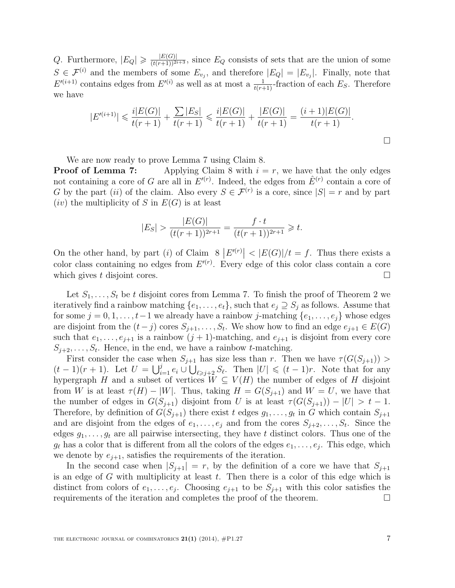Q. Furthermore,  $|E_Q| \geqslant \frac{|E(G)|}{(t(r+1))^{2i+3}}$ , since  $E_Q$  consists of sets that are the union of some  $S \in \mathcal{F}^{(i)}$  and the members of some  $E_{v_j}$ , and therefore  $|E_Q| = |E_{v_j}|$ . Finally, note that  $E^{(i+1)}$  contains edges from  $E^{(i)}$  as well as at most a  $\frac{1}{t(r+1)}$ -fraction of each  $E_S$ . Therefore we have

$$
|E'^{(i+1)}| \leq \frac{i|E(G)|}{t(r+1)} + \frac{\sum |E_S|}{t(r+1)} \leq \frac{i|E(G)|}{t(r+1)} + \frac{|E(G)|}{t(r+1)} = \frac{(i+1)|E(G)|}{t(r+1)}.
$$

We are now ready to prove Lemma 7 using Claim 8.

**Proof of Lemma 7:** Applying Claim 8 with  $i = r$ , we have that the only edges not containing a core of G are all in  $E^{(r)}$ . Indeed, the edges from  $\hat{E}^{(r)}$  contain a core of G by the part (ii) of the claim. Also every  $S \in \mathcal{F}^{(r)}$  is a core, since  $|S| = r$  and by part  $(iv)$  the multiplicity of S in  $E(G)$  is at least

$$
|E_S| > \frac{|E(G)|}{(t(r+1))^{2r+1}} = \frac{f \cdot t}{(t(r+1))^{2r+1}} \geq t.
$$

On the other hand, by part (i) of Claim  $8 \left| E^{(r)} \right| < |E(G)|/t = f$ . Thus there exists a color class containing no edges from  $E'(r)$ . Every edge of this color class contain a core which gives t disjoint cores.

Let  $S_1, \ldots, S_t$  be t disjoint cores from Lemma 7. To finish the proof of Theorem 2 we iteratively find a rainbow matching  $\{e_1, \ldots, e_t\}$ , such that  $e_j \supseteq S_j$  as follows. Assume that for some  $j = 0, 1, \ldots, t-1$  we already have a rainbow j-matching  $\{e_1, \ldots, e_j\}$  whose edges are disjoint from the  $(t-j)$  cores  $S_{j+1}, \ldots, S_t$ . We show how to find an edge  $e_{j+1} \in E(G)$ such that  $e_1, \ldots, e_{j+1}$  is a rainbow  $(j+1)$ -matching, and  $e_{j+1}$  is disjoint from every core  $S_{j+2}, \ldots, S_t$ . Hence, in the end, we have a rainbow t-matching.

First consider the case when  $S_{j+1}$  has size less than r. Then we have  $\tau(G(S_{j+1}))$  $(t-1)(r+1)$ . Let  $U = \bigcup_{i=1}^j e_i \cup \bigcup_{\ell \geq j+2} S_\ell$ . Then  $|U| \leq (t-1)r$ . Note that for any hypergraph H and a subset of vertices  $W \subseteq V(H)$  the number of edges of H disjoint from W is at least  $\tau(H) - |W|$ . Thus, taking  $H = G(S_{j+1})$  and  $W = U$ , we have that the number of edges in  $G(S_{j+1})$  disjoint from U is at least  $\tau(G(S_{j+1})) - |U| > t - 1$ . Therefore, by definition of  $G(S_{j+1})$  there exist t edges  $g_1, \ldots, g_t$  in G which contain  $S_{j+1}$ and are disjoint from the edges of  $e_1, \ldots, e_j$  and from the cores  $S_{j+2}, \ldots, S_t$ . Since the edges  $g_1, \ldots, g_t$  are all pairwise intersecting, they have t distinct colors. Thus one of the  $g_{\ell}$  has a color that is different from all the colors of the edges  $e_1, \ldots, e_j$ . This edge, which we denote by  $e_{j+1}$ , satisfies the requirements of the iteration.

In the second case when  $|S_{i+1}| = r$ , by the definition of a core we have that  $S_{i+1}$ is an edge of  $G$  with multiplicity at least  $t$ . Then there is a color of this edge which is distinct from colors of  $e_1, \ldots, e_j$ . Choosing  $e_{j+1}$  to be  $S_{j+1}$  with this color satisfies the requirements of the iteration and completes the proof of the theorem.  $\Box$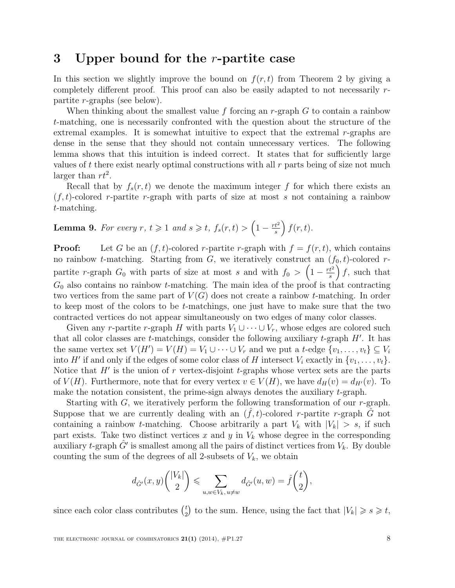# 3 Upper bound for the r-partite case

In this section we slightly improve the bound on  $f(r, t)$  from Theorem 2 by giving a completely different proof. This proof can also be easily adapted to not necessarily rpartite r-graphs (see below).

When thinking about the smallest value f forcing an r-graph  $G$  to contain a rainbow t-matching, one is necessarily confronted with the question about the structure of the extremal examples. It is somewhat intuitive to expect that the extremal r-graphs are dense in the sense that they should not contain unnecessary vertices. The following lemma shows that this intuition is indeed correct. It states that for sufficiently large values of t there exist nearly optimal constructions with all  $r$  parts being of size not much larger than  $rt^2$ .

Recall that by  $f_s(r,t)$  we denote the maximum integer f for which there exists an  $(f, t)$ -colored r-partite r-graph with parts of size at most s not containing a rainbow t-matching.

**Lemma 9.** For every 
$$
r, t \ge 1
$$
 and  $s \ge t, f_s(r,t) > \left(1 - \frac{rt^2}{s}\right) f(r,t)$ .

**Proof:** Let G be an  $(f, t)$ -colored r-partite r-graph with  $f = f(r, t)$ , which contains no rainbow t-matching. Starting from  $G$ , we iteratively construct an  $(f_0, t)$ -colored rpartite r-graph  $G_0$  with parts of size at most s and with  $f_0 > (1 - \frac{rt^2}{s})$  $\left(\frac{t^2}{s}\right)f$ , such that  $G_0$  also contains no rainbow *t*-matching. The main idea of the proof is that contracting two vertices from the same part of  $V(G)$  does not create a rainbow t-matching. In order to keep most of the colors to be t-matchings, one just have to make sure that the two contracted vertices do not appear simultaneously on two edges of many color classes.

Given any r-partite r-graph H with parts  $V_1 \cup \cdots \cup V_r$ , whose edges are colored such that all color classes are  $t$ -matchings, consider the following auxiliary  $t$ -graph  $H'$ . It has the same vertex set  $V(H') = V(H) = V_1 \cup \cdots \cup V_r$  and we put a t-edge  $\{v_1, \ldots, v_t\} \subseteq V_i$ into H' if and only if the edges of some color class of H intersect  $V_i$  exactly in  $\{v_1, \ldots, v_t\}$ . Notice that  $H'$  is the union of r vertex-disjoint t-graphs whose vertex sets are the parts of  $V(H)$ . Furthermore, note that for every vertex  $v \in V(H)$ , we have  $d_H(v) = d_{H'}(v)$ . To make the notation consistent, the prime-sign always denotes the auxiliary  $t$ -graph.

Starting with  $G$ , we iteratively perform the following transformation of our r-graph. Suppose that we are currently dealing with an  $(\hat{f}, t)$ -colored r-partite r-graph  $\hat{G}$  not containing a rainbow t-matching. Choose arbitrarily a part  $V_k$  with  $|V_k| > s$ , if such part exists. Take two distinct vertices  $x$  and  $y$  in  $V_k$  whose degree in the corresponding auxiliary t-graph  $\hat{G}'$  is smallest among all the pairs of distinct vertices from  $V_k$ . By double counting the sum of the degrees of all 2-subsets of  $V_k$ , we obtain

$$
d_{\hat{G}'}(x,y)\binom{|V_k|}{2} \leqslant \sum_{u,w \in V_k, u \neq w} d_{\hat{G}'}(u,w) = \hat{f}\binom{t}{2},
$$

since each color class contributes  $\binom{t}{2}$  $t_2^t$  to the sum. Hence, using the fact that  $|V_k| \geqslant s \geqslant t$ ,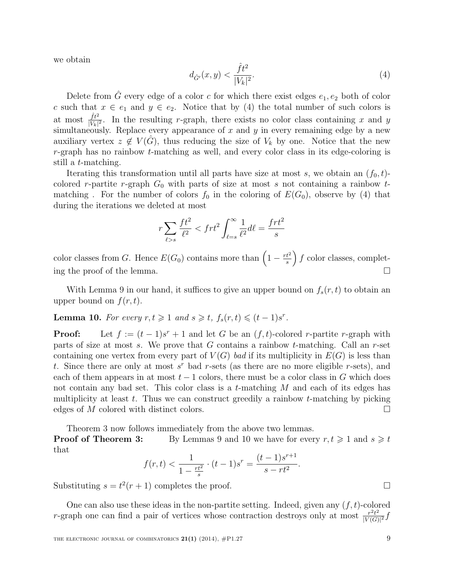we obtain

$$
d_{\hat{G}'}(x,y) < \frac{\hat{f}t^2}{|V_k|^2}.\tag{4}
$$

Delete from  $\hat{G}$  every edge of a color c for which there exist edges  $e_1, e_2$  both of color c such that  $x \in e_1$  and  $y \in e_2$ . Notice that by (4) the total number of such colors is at most  $\frac{\hat{f}t^2}{|V_k|^2}$ . In the resulting r-graph, there exists no color class containing x and y simultaneously. Replace every appearance of  $x$  and  $y$  in every remaining edge by a new auxiliary vertex  $z \notin V(\hat{G})$ , thus reducing the size of  $V_k$  by one. Notice that the new  $r$ -graph has no rainbow  $t$ -matching as well, and every color class in its edge-coloring is still a t-matching.

Iterating this transformation until all parts have size at most s, we obtain an  $(f_0, t)$ colored r-partite r-graph  $G_0$  with parts of size at most s not containing a rainbow tmatching. For the number of colors  $f_0$  in the coloring of  $E(G_0)$ , observe by (4) that during the iterations we deleted at most

$$
r\sum_{\ell>s}\frac{ft^2}{\ell^2} < frt^2 \int_{\ell=s}^{\infty}\frac{1}{\ell^2}d\ell = \frac{frt^2}{s}
$$

color classes from G. Hence  $E(G_0)$  contains more than  $\left(1 - \frac{rt^2}{s}\right)$  $\frac{t^2}{s}$  f color classes, completing the proof of the lemma.  $\Box$ 

With Lemma 9 in our hand, it suffices to give an upper bound on  $f_s(r, t)$  to obtain an upper bound on  $f(r, t)$ .

**Lemma 10.** For every  $r, t \geq 1$  and  $s \geq t$ ,  $f_s(r,t) \leq (t-1)s^r$ .

**Proof:** Let  $f := (t-1)s^r + 1$  and let G be an  $(f, t)$ -colored r-partite r-graph with parts of size at most s. We prove that G contains a rainbow t-matching. Call an r-set containing one vertex from every part of  $V(G)$  bad if its multiplicity in  $E(G)$  is less than t. Since there are only at most  $s^r$  bad r-sets (as there are no more eligible r-sets), and each of them appears in at most  $t-1$  colors, there must be a color class in G which does not contain any bad set. This color class is a t-matching M and each of its edges has multiplicity at least  $t$ . Thus we can construct greedily a rainbow  $t$ -matching by picking edges of M colored with distinct colors.  $\Box$ 

Theorem 3 now follows immediately from the above two lemmas.

**Proof of Theorem 3:** By Lemmas 9 and 10 we have for every  $r, t \geq 1$  and  $s \geq t$ that

$$
f(r,t) < \frac{1}{1 - \frac{rt^2}{s}} \cdot (t - 1)s^r = \frac{(t - 1)s^{r+1}}{s - rt^2}.
$$

Substituting  $s = t^2(r + 1)$  completes the proof.

One can also use these ideas in the non-partite setting. Indeed, given any  $(f, t)$ -colored r-graph one can find a pair of vertices whose contraction destroys only at most  $\frac{r^2t^2}{V(G)}$  $\frac{r^2t^2}{|V(G)|^2}f$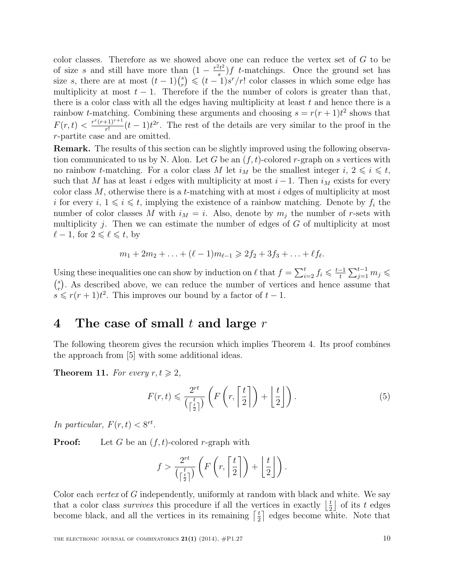color classes. Therefore as we showed above one can reduce the vertex set of G to be of size s and still have more than  $(1 - \frac{r^2 t^2}{s})$  $\frac{t}{s}$ ) f t-matchings. Once the ground set has size s, there are at most  $(t-1)\binom{s}{r}$  $r_r^s$ )  $\leqslant$   $(t-1)s^r/r!$  color classes in which some edge has multiplicity at most  $t - 1$ . Therefore if the number of colors is greater than that, there is a color class with all the edges having multiplicity at least  $t$  and hence there is a rainbow *t*-matching. Combining these arguments and choosing  $s = r(r + 1)t^2$  shows that  $F(r,t) < \frac{r^r (r+1)^{r+1}}{r!}$  $\frac{(t+1)^{r+1}}{r!}(t-1)t^{2r}$ . The rest of the details are very similar to the proof in the r-partite case and are omitted.

Remark. The results of this section can be slightly improved using the following observation communicated to us by N. Alon. Let G be an  $(f, t)$ -colored r-graph on s vertices with no rainbow *t*-matching. For a color class M let  $i_M$  be the smallest integer  $i, 2 \leq i \leq t$ , such that M has at least i edges with multiplicity at most  $i - 1$ . Then  $i<sub>M</sub>$  exists for every color class  $M$ , otherwise there is a t-matching with at most i edges of multiplicity at most i for every  $i, 1 \leq i \leq t$ , implying the existence of a rainbow matching. Denote by  $f_i$  the number of color classes M with  $i_M = i$ . Also, denote by  $m_i$  the number of r-sets with multiplicity  $j$ . Then we can estimate the number of edges of  $G$  of multiplicity at most  $\ell$  − 1, for  $2 \leq \ell \leq t$ , by

$$
m_1 + 2m_2 + \ldots + (\ell - 1)m_{\ell-1} \geq 2f_2 + 3f_3 + \ldots + \ell f_{\ell}.
$$

Using these inequalities one can show by induction on  $\ell$  that  $f = \sum_{i=2}^{t} f_i \leqslant \frac{t-1}{t}$  $\frac{-1}{t}\sum_{j=1}^{t-1}m_j\leqslant$  $\binom{s}{n}$  $\binom{s}{r}$ . As described above, we can reduce the number of vertices and hence assume that  $s \leq r(r+1)t^2$ . This improves our bound by a factor of  $t-1$ .

#### 4 The case of small  $t$  and large  $r$

The following theorem gives the recursion which implies Theorem 4. Its proof combines the approach from [5] with some additional ideas.

**Theorem 11.** For every  $r, t \geq 2$ ,

$$
F(r,t) \leqslant \frac{2^{rt}}{\left(\frac{t}{2}\right)} \left(F\left(r, \left\lceil \frac{t}{2} \right\rceil\right) + \left\lfloor \frac{t}{2} \right\rfloor\right). \tag{5}
$$

In particular,  $F(r, t) < 8^{rt}$ .

**Proof:** Let G be an  $(f, t)$ -colored r-graph with

$$
f > \frac{2^{rt}}{\left(\frac{t}{2}\right)} \left(F\left(r, \left\lceil \frac{t}{2} \right\rceil\right) + \left\lfloor \frac{t}{2} \right\rfloor\right).
$$

Color each *vertex* of G independently, uniformly at random with black and white. We say that a color class *survives* this procedure if all the vertices in exactly  $\frac{1}{2}$  $\frac{t}{2}$  of its t edges become black, and all the vertices in its remaining  $\lceil \frac{t}{2} \rceil$  $\frac{t}{2}$  edges become white. Note that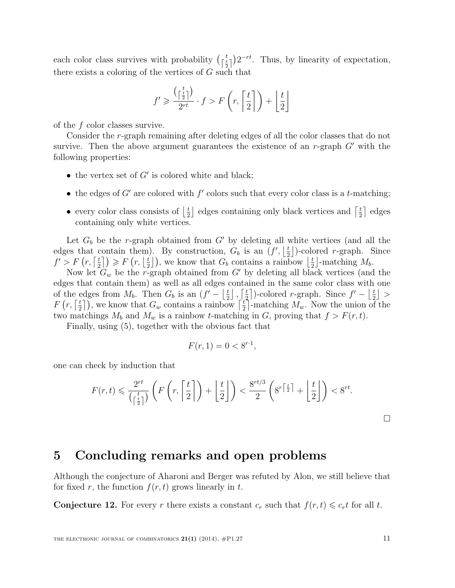each color class survives with probability  $\left(\frac{t}{\lceil \frac{t}{2}\rceil}\right)2^{-rt}$ . Thus, by linearity of expectation, there exists a coloring of the vertices of  $G$  such that

$$
f' \geq \frac{\left(\lceil\frac{t}{2}\rceil\right)}{2^{rt}} \cdot f > F\left(r, \left\lceil\frac{t}{2}\right\rceil\right) + \left\lfloor\frac{t}{2}\right\rfloor
$$

of the f color classes survive.

Consider the r-graph remaining after deleting edges of all the color classes that do not survive. Then the above argument guarantees the existence of an  $r$ -graph  $G'$  with the following properties:

- the vertex set of  $G'$  is colored white and black;
- the edges of  $G'$  are colored with  $f'$  colors such that every color class is a t-matching;
- every color class consists of  $\frac{t}{2}$  $\frac{t}{2}$  edges containing only black vertices and  $\lceil \frac{t}{2} \rceil$  $\frac{t}{2}$  edges containing only white vertices.

Let  $G_b$  be the r-graph obtained from  $G'$  by deleting all white vertices (and all the edges that contain them). By construction,  $G_b$  is an  $(f', \frac{1}{2})$  $\frac{t}{2}$ )-colored *r*-graph. Since  $f' > F(r, \lceil \frac{t}{2} \rceil$  $\left(\frac{t}{2}\right]$ )  $\geqslant F\left(r,\left\lfloor\frac{t}{2}\right\rfloor\right)$  $\left(\frac{t}{2}\right)$ , we know that  $G_b$  contains a rainbow  $\left\lfloor \frac{t}{2}\right\rfloor$  $\frac{t}{2}$ -matching  $M_b$ .

Now let  $G_w$  be the r-graph obtained from G' by deleting all black vertices (and the edges that contain them) as well as all edges contained in the same color class with one of the edges from  $M_b$ . Then  $G_b$  is an  $(f' - \frac{1}{2}$  $\frac{t}{2}$ ,  $\left[\frac{t}{2}\right]$  $\frac{t}{2}$ )-colored *r*-graph. Since  $f' - \left\lfloor \frac{t}{2} \right\rfloor$  $\frac{t}{2}$  >  $F(r, \lceil \frac{t}{2} \rceil$  $\left(\frac{t}{2}\right)$ , we know that  $G_w$  contains a rainbow  $\left[\frac{t}{2}\right]$  $\frac{t}{2}$ -matching  $M_w$ . Now the union of the two matchings  $M_b$  and  $M_w$  is a rainbow t-matching in G, proving that  $f > F(r, t)$ .

Finally, using (5), together with the obvious fact that

$$
F(r,1) = 0 < 8^{r \cdot 1},
$$

one can check by induction that

$$
F(r,t) \leq \frac{2^{rt}}{\left(\frac{t}{2}\right)} \left(F\left(r, \left\lceil \frac{t}{2} \right\rceil\right) + \left\lfloor \frac{t}{2} \right\rfloor\right) < \frac{8^{rt/3}}{2} \left(8^{r\left\lceil \frac{t}{2} \right\rceil} + \left\lfloor \frac{t}{2} \right\rfloor\right) < 8^{rt}.
$$

#### 5 Concluding remarks and open problems

Although the conjecture of Aharoni and Berger was refuted by Alon, we still believe that for fixed r, the function  $f(r, t)$  grows linearly in t.

**Conjecture 12.** For every r there exists a constant  $c_r$  such that  $f(r, t) \leq c_r t$  for all t.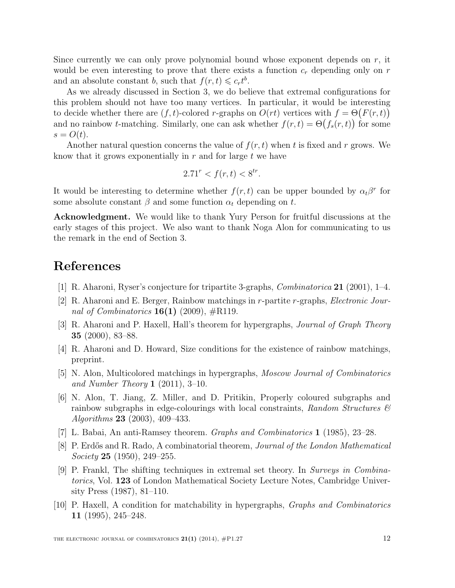Since currently we can only prove polynomial bound whose exponent depends on  $r$ , it would be even interesting to prove that there exists a function  $c_r$  depending only on r and an absolute constant b, such that  $f(r, t) \leq c_r t^b$ .

As we already discussed in Section 3, we do believe that extremal configurations for this problem should not have too many vertices. In particular, it would be interesting to decide whether there are  $(f, t)$ -colored r-graphs on  $O(rt)$  vertices with  $f = \Theta(F(r, t))$ and no rainbow *t*-matching. Similarly, one can ask whether  $f(r,t) = \Theta(f_s(r,t))$  for some  $s = O(t)$ .

Another natural question concerns the value of  $f(r, t)$  when t is fixed and r grows. We know that it grows exponentially in  $r$  and for large  $t$  we have

$$
2.71^r < f(r, t) < 8^{tr}.
$$

It would be interesting to determine whether  $f(r, t)$  can be upper bounded by  $\alpha_t\beta^r$  for some absolute constant  $\beta$  and some function  $\alpha_t$  depending on t.

Acknowledgment. We would like to thank Yury Person for fruitful discussions at the early stages of this project. We also want to thank Noga Alon for communicating to us the remark in the end of Section 3.

# References

- [1] R. Aharoni, Ryser's conjecture for tripartite 3-graphs, Combinatorica 21 (2001), 1–4.
- [2] R. Aharoni and E. Berger, Rainbow matchings in r-partite r-graphs, Electronic Journal of Combinatorics  $16(1)$  (2009),  $\#\text{R}119$ .
- [3] R. Aharoni and P. Haxell, Hall's theorem for hypergraphs, Journal of Graph Theory 35 (2000), 83–88.
- [4] R. Aharoni and D. Howard, Size conditions for the existence of rainbow matchings, preprint.
- [5] N. Alon, Multicolored matchings in hypergraphs, Moscow Journal of Combinatorics and Number Theory 1  $(2011)$ , 3-10.
- [6] N. Alon, T. Jiang, Z. Miller, and D. Pritikin, Properly coloured subgraphs and rainbow subgraphs in edge-colourings with local constraints, Random Structures  $\mathcal{C}$ Algorithms 23 (2003), 409–433.
- [7] L. Babai, An anti-Ramsey theorem. Graphs and Combinatorics 1 (1985), 23–28.
- [8] P. Erdős and R. Rado, A combinatorial theorem, Journal of the London Mathematical Society 25 (1950), 249–255.
- [9] P. Frankl, The shifting techniques in extremal set theory. In Surveys in Combinatorics, Vol. 123 of London Mathematical Society Lecture Notes, Cambridge University Press (1987), 81–110.
- [10] P. Haxell, A condition for matchability in hypergraphs, Graphs and Combinatorics 11 (1995), 245–248.